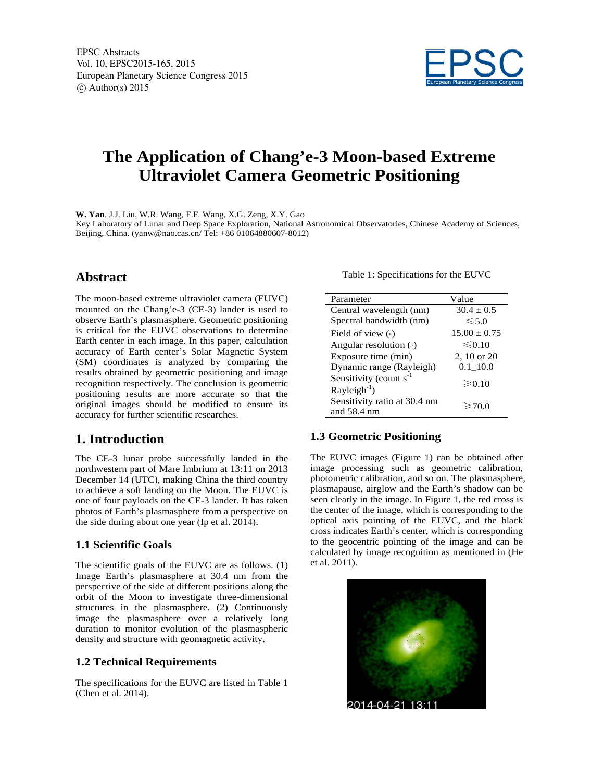

# **The Application of Chang'e-3 Moon-based Extreme Ultraviolet Camera Geometric Positioning**

**W. Yan**, J.J. Liu, W.R. Wang, F.F. Wang, X.G. Zeng, X.Y. Gao Key Laboratory of Lunar and Deep Space Exploration, National Astronomical Observatories, Chinese Academy of Sciences, Beijing, China. (yanw@nao.cas.cn/ Tel: +86 01064880607-8012)

# **Abstract**

The moon-based extreme ultraviolet camera (EUVC) mounted on the Chang'e-3 (CE-3) lander is used to observe Earth's plasmasphere. Geometric positioning is critical for the EUVC observations to determine Earth center in each image. In this paper, calculation accuracy of Earth center's Solar Magnetic System (SM) coordinates is analyzed by comparing the results obtained by geometric positioning and image recognition respectively. The conclusion is geometric positioning results are more accurate so that the original images should be modified to ensure its accuracy for further scientific researches.

# **1. Introduction**

The CE-3 lunar probe successfully landed in the northwestern part of Mare Imbrium at 13:11 on 2013 December 14 (UTC), making China the third country to achieve a soft landing on the Moon. The EUVC is one of four payloads on the CE-3 lander. It has taken photos of Earth's plasmasphere from a perspective on the side during about one year (Ip et al. 2014).

### **1.1 Scientific Goals**

The scientific goals of the EUVC are as follows. (1) Image Earth's plasmasphere at 30.4 nm from the perspective of the side at different positions along the orbit of the Moon to investigate three-dimensional structures in the plasmasphere. (2) Continuously image the plasmasphere over a relatively long duration to monitor evolution of the plasmaspheric density and structure with geomagnetic activity.

#### **1.2 Technical Requirements**

The specifications for the EUVC are listed in Table 1 (Chen et al. 2014).

Table 1: Specifications for the EUVC

| Parameter                                             | Value            |
|-------------------------------------------------------|------------------|
| Central wavelength (nm)                               | $30.4 \pm 0.5$   |
| Spectral bandwidth (nm)                               | $\leq 5.0$       |
| Field of view $\left( \cdot \right)$                  | $15.00 \pm 0.75$ |
| Angular resolution ( $\circ$ )                        | $\leq 0.10$      |
| Exposure time (min)                                   | 2, 10 or 20      |
| Dynamic range (Rayleigh)                              | $0.1$ 10.0       |
| Sensitivity (count $s^{-1}$<br>$Rayleigh^{-1}$ )      | $\geq 0.10$      |
| Sensitivity ratio at 30.4 nm<br>and $58.4 \text{ nm}$ | $\geq 70.0$      |

### **1.3 Geometric Positioning**

The EUVC images (Figure 1) can be obtained after image processing such as geometric calibration, photometric calibration, and so on. The plasmasphere, plasmapause, airglow and the Earth's shadow can be seen clearly in the image. In Figure 1, the red cross is the center of the image, which is corresponding to the optical axis pointing of the EUVC, and the black cross indicates Earth's center, which is corresponding to the geocentric pointing of the image and can be calculated by image recognition as mentioned in (He et al. 2011).